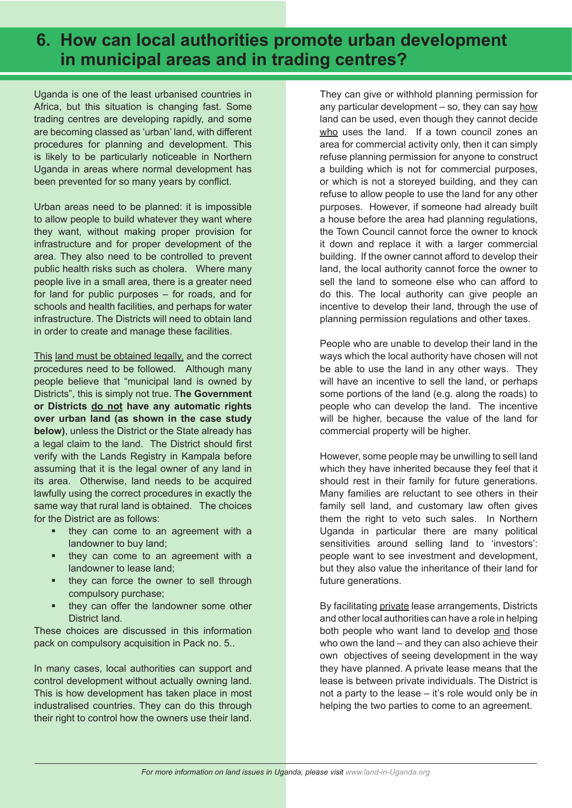# **6. How can local authorities promote urban development in municipal areas and in trading centres?**

Uganda is one of the least urbanised countries in Africa, but this situation is changing fast. Some trading centres are developing rapidly, and some are becoming classed as 'urban' land, with different procedures for planning and development. This is likely to be particularly noticeable in Northern Uganda in areas where normal development has been prevented for so many years by conflict.

Urban areas need to be planned: it is impossible to allow people to build whatever they want where they want, without making proper provision for infrastructure and for proper development of the area. They also need to be controlled to prevent public health risks such as cholera. Where many people live in a small area, there is a greater need for land for public purposes – for roads, and for schools and health facilities, and perhaps for water infrastructure. The Districts will need to obtain land in order to create and manage these facilities.

This land must be obtained legally, and the correct procedures need to be followed. Although many people believe that "municipal land is owned by Districts", this is simply not true. T**he Government or Districts do not have any automatic rights over urban land (as shown in the case study below)**, unless the District or the State already has a legal claim to the land. The District should first verify with the Lands Registry in Kampala before assuming that it is the legal owner of any land in its area. Otherwise, land needs to be acquired lawfully using the correct procedures in exactly the same way that rural land is obtained. The choices for the District are as follows:

- they can come to an agreement with a landowner to buy land;
- they can come to an agreement with a landowner to lease land;
- they can force the owner to sell through compulsory purchase;
- they can offer the landowner some other District land.

These choices are discussed in this information pack on compulsory acquisition in Pack no. 5..

In many cases, local authorities can support and control development without actually owning land. This is how development has taken place in most industralised countries. They can do this through their right to control how the owners use their land.

They can give or withhold planning permission for any particular development  $-$  so, they can say how land can be used, even though they cannot decide who uses the land. If a town council zones an area for commercial activity only, then it can simply refuse planning permission for anyone to construct a building which is not for commercial purposes, or which is not a storeyed building, and they can refuse to allow people to use the land for any other purposes. However, if someone had already built a house before the area had planning regulations, the Town Council cannot force the owner to knock it down and replace it with a larger commercial building. If the owner cannot afford to develop their land, the local authority cannot force the owner to sell the land to someone else who can afford to do this. The local authority can give people an incentive to develop their land, through the use of planning permission regulations and other taxes.

People who are unable to develop their land in the ways which the local authority have chosen will not be able to use the land in any other ways. They will have an incentive to sell the land, or perhaps some portions of the land (e.g. along the roads) to people who can develop the land. The incentive will be higher, because the value of the land for commercial property will be higher.

However, some people may be unwilling to sell land which they have inherited because they feel that it should rest in their family for future generations. Many families are reluctant to see others in their family sell land, and customary law often gives them the right to veto such sales. In Northern Uganda in particular there are many political sensitivities around selling land to 'investors': people want to see investment and development, but they also value the inheritance of their land for future generations.

By facilitating private lease arrangements, Districts and other local authorities can have a role in helping both people who want land to develop and those who own the land – and they can also achieve their own objectives of seeing development in the way they have planned. A private lease means that the lease is between private individuals. The District is not a party to the lease – it's role would only be in helping the two parties to come to an agreement.